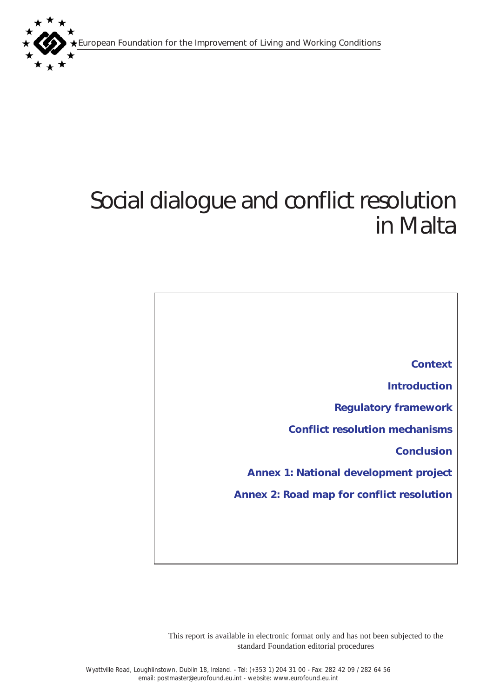European Foundation for the Improvement of Living and Working Conditions



# Social dialogue and conflict resolution in Malta

*[Context](#page-1-0) [Introduction](#page-1-0) [Regulatory framework](#page-4-0)  [Conflict resolution mechanisms](#page-6-0) [Conclusion](#page-7-0) [Annex 1: National development project](#page-9-0) [Annex 2: Road map for conflict resolution](#page-11-0)* 

This report is available in electronic format only and has not been subjected to the standard Foundation editorial procedures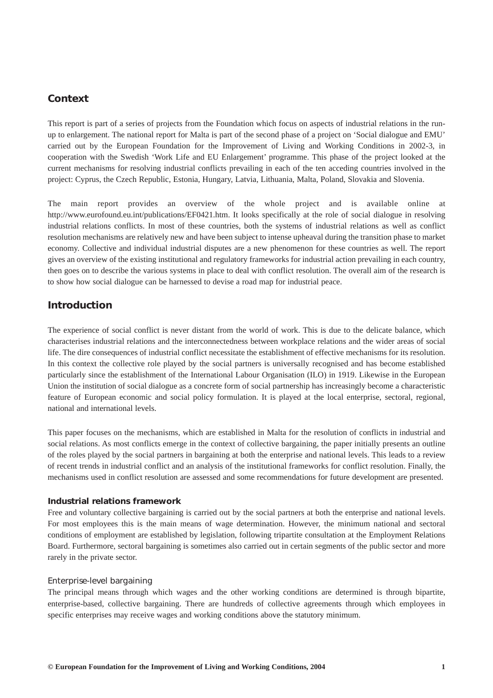# <span id="page-1-0"></span>*Context*

This report is part of a series of projects from the Foundation which focus on aspects of industrial relations in the runup to enlargement. The national report for Malta is part of the second phase of a project on 'Social dialogue and EMU' carried out by the European Foundation for the Improvement of Living and Working Conditions in 2002-3, in cooperation with the Swedish 'Work Life and EU Enlargement' programme. This phase of the project looked at the current mechanisms for resolving industrial conflicts prevailing in each of the ten acceding countries involved in the project: Cyprus, the Czech Republic, Estonia, Hungary, Latvia, Lithuania, Malta, Poland, Slovakia and Slovenia.

The main report provides an overview of the whole project and is available online at http://www.eurofound.eu.int/publications/EF0421.htm. It looks specifically at the role of social dialogue in resolving industrial relations conflicts. In most of these countries, both the systems of industrial relations as well as conflict resolution mechanisms are relatively new and have been subject to intense upheaval during the transition phase to market economy. Collective and individual industrial disputes are a new phenomenon for these countries as well. The report gives an overview of the existing institutional and regulatory frameworks for industrial action prevailing in each country, then goes on to describe the various systems in place to deal with conflict resolution. The overall aim of the research is to show how social dialogue can be harnessed to devise a road map for industrial peace.

# *Introduction*

The experience of social conflict is never distant from the world of work. This is due to the delicate balance, which characterises industrial relations and the interconnectedness between workplace relations and the wider areas of social life. The dire consequences of industrial conflict necessitate the establishment of effective mechanisms for its resolution. In this context the collective role played by the social partners is universally recognised and has become established particularly since the establishment of the International Labour Organisation (ILO) in 1919. Likewise in the European Union the institution of social dialogue as a concrete form of social partnership has increasingly become a characteristic feature of European economic and social policy formulation. It is played at the local enterprise, sectoral, regional, national and international levels.

This paper focuses on the mechanisms, which are established in Malta for the resolution of conflicts in industrial and social relations. As most conflicts emerge in the context of collective bargaining, the paper initially presents an outline of the roles played by the social partners in bargaining at both the enterprise and national levels. This leads to a review of recent trends in industrial conflict and an analysis of the institutional frameworks for conflict resolution. Finally, the mechanisms used in conflict resolution are assessed and some recommendations for future development are presented.

#### *Industrial relations framework*

Free and voluntary collective bargaining is carried out by the social partners at both the enterprise and national levels. For most employees this is the main means of wage determination. However, the minimum national and sectoral conditions of employment are established by legislation, following tripartite consultation at the Employment Relations Board. Furthermore, sectoral bargaining is sometimes also carried out in certain segments of the public sector and more rarely in the private sector.

#### *Enterprise-level bargaining*

The principal means through which wages and the other working conditions are determined is through bipartite, enterprise-based, collective bargaining. There are hundreds of collective agreements through which employees in specific enterprises may receive wages and working conditions above the statutory minimum.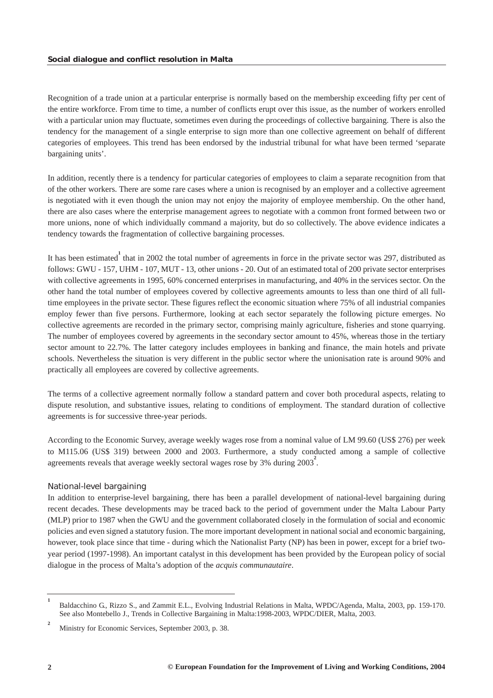Recognition of a trade union at a particular enterprise is normally based on the membership exceeding fifty per cent of the entire workforce. From time to time, a number of conflicts erupt over this issue, as the number of workers enrolled with a particular union may fluctuate, sometimes even during the proceedings of collective bargaining. There is also the tendency for the management of a single enterprise to sign more than one collective agreement on behalf of different categories of employees. This trend has been endorsed by the industrial tribunal for what have been termed 'separate bargaining units'.

In addition, recently there is a tendency for particular categories of employees to claim a separate recognition from that of the other workers. There are some rare cases where a union is recognised by an employer and a collective agreement is negotiated with it even though the union may not enjoy the majority of employee membership. On the other hand, there are also cases where the enterprise management agrees to negotiate with a common front formed between two or more unions, none of which individually command a majority, but do so collectively. The above evidence indicates a tendency towards the fragmentation of collective bargaining processes.

It has been estimated<sup>1</sup> that in 2002 the total number of agreements in force in the private sector was 297, distributed as follows: GWU - 157, UHM - 107, MUT - 13, other unions - 20. Out of an estimated total of 200 private sector enterprises with collective agreements in 1995, 60% concerned enterprises in manufacturing, and 40% in the services sector. On the other hand the total number of employees covered by collective agreements amounts to less than one third of all fulltime employees in the private sector. These figures reflect the economic situation where 75% of all industrial companies employ fewer than five persons. Furthermore, looking at each sector separately the following picture emerges. No collective agreements are recorded in the primary sector, comprising mainly agriculture, fisheries and stone quarrying. The number of employees covered by agreements in the secondary sector amount to 45%, whereas those in the tertiary sector amount to 22.7%. The latter category includes employees in banking and finance, the main hotels and private schools. Nevertheless the situation is very different in the public sector where the unionisation rate is around 90% and practically all employees are covered by collective agreements.

The terms of a collective agreement normally follow a standard pattern and cover both procedural aspects, relating to dispute resolution, and substantive issues, relating to conditions of employment. The standard duration of collective agreements is for successive three-year periods.

According to the Economic Survey, average weekly wages rose from a nominal value of LM 99.60 (US\$ 276) per week to M115.06 (US\$ 319) between 2000 and 2003. Furthermore, a study conducted among a sample of collective agreements reveals that average weekly sectoral wages rose by 3% during 2003<sup>2</sup>.

## *National-level bargaining*

In addition to enterprise-level bargaining, there has been a parallel development of national-level bargaining during recent decades. These developments may be traced back to the period of government under the Malta Labour Party (MLP) prior to 1987 when the GWU and the government collaborated closely in the formulation of social and economic policies and even signed a statutory fusion. The more important development in national social and economic bargaining, however, took place since that time - during which the Nationalist Party (NP) has been in power, except for a brief twoyear period (1997-1998). An important catalyst in this development has been provided by the European policy of social dialogue in the process of Malta's adoption of the *acquis communautaire*.

**<sup>1</sup>** Baldacchino G., Rizzo S., and Zammit E.L., Evolving Industrial Relations in Malta, WPDC/Agenda, Malta, 2003, pp. 159-170. See also Montebello J., Trends in Collective Bargaining in Malta:1998-2003, WPDC/DIER, Malta, 2003.

**<sup>2</sup>** Ministry for Economic Services, September 2003, p. 38.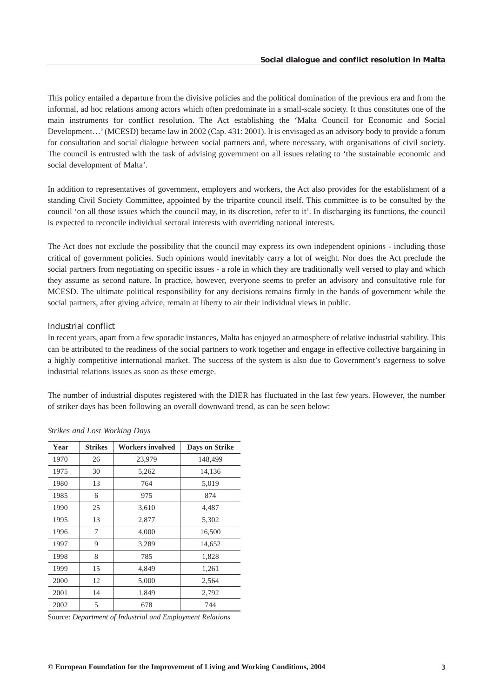This policy entailed a departure from the divisive policies and the political domination of the previous era and from the informal, ad hoc relations among actors which often predominate in a small-scale society. It thus constitutes one of the main instruments for conflict resolution. The Act establishing the 'Malta Council for Economic and Social Development…' (MCESD) became law in 2002 (Cap. 431: 2001). It is envisaged as an advisory body to provide a forum for consultation and social dialogue between social partners and, where necessary, with organisations of civil society. The council is entrusted with the task of advising government on all issues relating to 'the sustainable economic and social development of Malta'.

In addition to representatives of government, employers and workers, the Act also provides for the establishment of a standing Civil Society Committee, appointed by the tripartite council itself. This committee is to be consulted by the council 'on all those issues which the council may, in its discretion, refer to it'. In discharging its functions, the council is expected to reconcile individual sectoral interests with overriding national interests.

The Act does not exclude the possibility that the council may express its own independent opinions - including those critical of government policies. Such opinions would inevitably carry a lot of weight. Nor does the Act preclude the social partners from negotiating on specific issues - a role in which they are traditionally well versed to play and which they assume as second nature. In practice, however, everyone seems to prefer an advisory and consultative role for MCESD. The ultimate political responsibility for any decisions remains firmly in the hands of government while the social partners, after giving advice, remain at liberty to air their individual views in public.

## *Industrial conflict*

In recent years, apart from a few sporadic instances, Malta has enjoyed an atmosphere of relative industrial stability. This can be attributed to the readiness of the social partners to work together and engage in effective collective bargaining in a highly competitive international market. The success of the system is also due to Government's eagerness to solve industrial relations issues as soon as these emerge.

The number of industrial disputes registered with the DIER has fluctuated in the last few years. However, the number of striker days has been following an overall downward trend, as can be seen below:

| Year | <b>Strikes</b> | <b>Workers involved</b> | <b>Days on Strike</b> |
|------|----------------|-------------------------|-----------------------|
| 1970 | 26             | 23,979                  | 148,499               |
| 1975 | 30             | 5,262                   | 14,136                |
| 1980 | 13             | 764                     | 5,019                 |
| 1985 | 6              | 975                     | 874                   |
| 1990 | 25             | 3,610                   | 4,487                 |
| 1995 | 13             | 2,877                   | 5,302                 |
| 1996 | 7              | 4,000                   | 16,500                |
| 1997 | 9              | 3,289                   | 14,652                |
| 1998 | 8              | 785                     | 1,828                 |
| 1999 | 15             | 4,849                   | 1,261                 |
| 2000 | 12             | 5,000                   | 2,564                 |
| 2001 | 14             | 1,849                   | 2,792                 |
| 2002 | 5              | 678                     | 744                   |

*Strikes and Lost Working Days*

Source: *Department of Industrial and Employment Relations*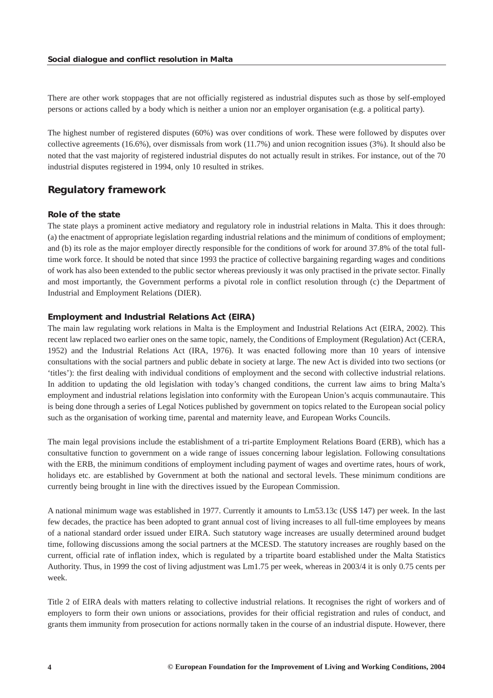<span id="page-4-0"></span>There are other work stoppages that are not officially registered as industrial disputes such as those by self-employed persons or actions called by a body which is neither a union nor an employer organisation (e.g. a political party).

The highest number of registered disputes (60%) was over conditions of work. These were followed by disputes over collective agreements (16.6%), over dismissals from work (11.7%) and union recognition issues (3%). It should also be noted that the vast majority of registered industrial disputes do not actually result in strikes. For instance, out of the 70 industrial disputes registered in 1994, only 10 resulted in strikes.

# *Regulatory framework*

## *Role of the state*

The state plays a prominent active mediatory and regulatory role in industrial relations in Malta. This it does through: (a) the enactment of appropriate legislation regarding industrial relations and the minimum of conditions of employment; and (b) its role as the major employer directly responsible for the conditions of work for around 37.8% of the total fulltime work force. It should be noted that since 1993 the practice of collective bargaining regarding wages and conditions of work has also been extended to the public sector whereas previously it was only practised in the private sector. Finally and most importantly, the Government performs a pivotal role in conflict resolution through (c) the Department of Industrial and Employment Relations (DIER).

#### *Employment and Industrial Relations Act (EIRA)*

The main law regulating work relations in Malta is the Employment and Industrial Relations Act (EIRA, 2002). This recent law replaced two earlier ones on the same topic, namely, the Conditions of Employment (Regulation) Act (CERA, 1952) and the Industrial Relations Act (IRA, 1976). It was enacted following more than 10 years of intensive consultations with the social partners and public debate in society at large. The new Act is divided into two sections (or 'titles'): the first dealing with individual conditions of employment and the second with collective industrial relations. In addition to updating the old legislation with today's changed conditions, the current law aims to bring Malta's employment and industrial relations legislation into conformity with the European Union's acquis communautaire. This is being done through a series of Legal Notices published by government on topics related to the European social policy such as the organisation of working time, parental and maternity leave, and European Works Councils.

The main legal provisions include the establishment of a tri-partite Employment Relations Board (ERB), which has a consultative function to government on a wide range of issues concerning labour legislation. Following consultations with the ERB, the minimum conditions of employment including payment of wages and overtime rates, hours of work, holidays etc. are established by Government at both the national and sectoral levels. These minimum conditions are currently being brought in line with the directives issued by the European Commission.

A national minimum wage was established in 1977. Currently it amounts to Lm53.13c (US\$ 147) per week. In the last few decades, the practice has been adopted to grant annual cost of living increases to all full-time employees by means of a national standard order issued under EIRA. Such statutory wage increases are usually determined around budget time, following discussions among the social partners at the MCESD. The statutory increases are roughly based on the current, official rate of inflation index, which is regulated by a tripartite board established under the Malta Statistics Authority. Thus, in 1999 the cost of living adjustment was Lm1.75 per week, whereas in 2003/4 it is only 0.75 cents per week.

Title 2 of EIRA deals with matters relating to collective industrial relations. It recognises the right of workers and of employers to form their own unions or associations, provides for their official registration and rules of conduct, and grants them immunity from prosecution for actions normally taken in the course of an industrial dispute. However, there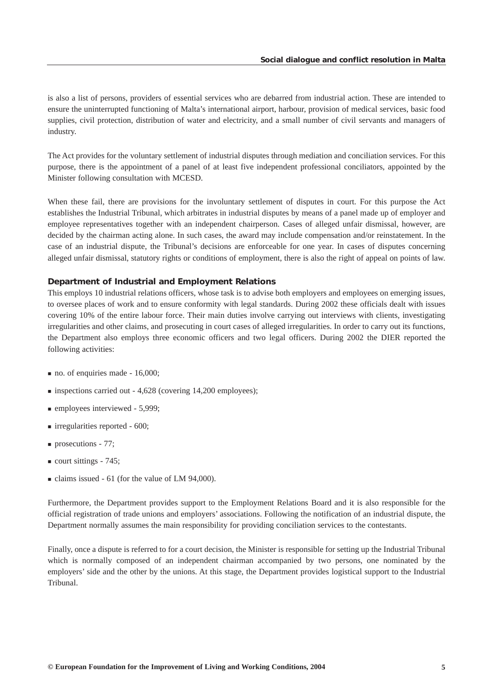is also a list of persons, providers of essential services who are debarred from industrial action. These are intended to ensure the uninterrupted functioning of Malta's international airport, harbour, provision of medical services, basic food supplies, civil protection, distribution of water and electricity, and a small number of civil servants and managers of industry.

The Act provides for the voluntary settlement of industrial disputes through mediation and conciliation services. For this purpose, there is the appointment of a panel of at least five independent professional conciliators, appointed by the Minister following consultation with MCESD.

When these fail, there are provisions for the involuntary settlement of disputes in court. For this purpose the Act establishes the Industrial Tribunal, which arbitrates in industrial disputes by means of a panel made up of employer and employee representatives together with an independent chairperson. Cases of alleged unfair dismissal, however, are decided by the chairman acting alone. In such cases, the award may include compensation and/or reinstatement. In the case of an industrial dispute, the Tribunal's decisions are enforceable for one year. In cases of disputes concerning alleged unfair dismissal, statutory rights or conditions of employment, there is also the right of appeal on points of law.

#### *Department of Industrial and Employment Relations*

This employs 10 industrial relations officers, whose task is to advise both employers and employees on emerging issues, to oversee places of work and to ensure conformity with legal standards. During 2002 these officials dealt with issues covering 10% of the entire labour force. Their main duties involve carrying out interviews with clients, investigating irregularities and other claims, and prosecuting in court cases of alleged irregularities. In order to carry out its functions, the Department also employs three economic officers and two legal officers. During 2002 the DIER reported the following activities:

- no. of enquiries made 16,000;
- inspections carried out 4,628 (covering 14,200 employees);
- **employees interviewed 5,999;**
- $\blacksquare$  irregularities reported 600;
- **prosecutions 77;**
- $\blacksquare$  court sittings 745;
- claims issued 61 (for the value of LM 94,000).

Furthermore, the Department provides support to the Employment Relations Board and it is also responsible for the official registration of trade unions and employers' associations. Following the notification of an industrial dispute, the Department normally assumes the main responsibility for providing conciliation services to the contestants.

Finally, once a dispute is referred to for a court decision, the Minister is responsible for setting up the Industrial Tribunal which is normally composed of an independent chairman accompanied by two persons, one nominated by the employers' side and the other by the unions. At this stage, the Department provides logistical support to the Industrial Tribunal.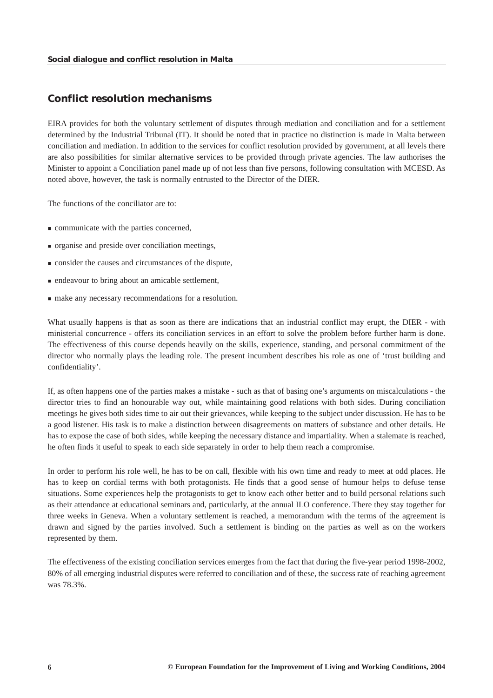## <span id="page-6-0"></span>*Conflict resolution mechanisms*

EIRA provides for both the voluntary settlement of disputes through mediation and conciliation and for a settlement determined by the Industrial Tribunal (IT). It should be noted that in practice no distinction is made in Malta between conciliation and mediation. In addition to the services for conflict resolution provided by government, at all levels there are also possibilities for similar alternative services to be provided through private agencies. The law authorises the Minister to appoint a Conciliation panel made up of not less than five persons, following consultation with MCESD. As noted above, however, the task is normally entrusted to the Director of the DIER.

The functions of the conciliator are to:

- communicate with the parties concerned,
- organise and preside over conciliation meetings,
- consider the causes and circumstances of the dispute,
- endeavour to bring about an amicable settlement,
- make any necessary recommendations for a resolution.

What usually happens is that as soon as there are indications that an industrial conflict may erupt, the DIER - with ministerial concurrence - offers its conciliation services in an effort to solve the problem before further harm is done. The effectiveness of this course depends heavily on the skills, experience, standing, and personal commitment of the director who normally plays the leading role. The present incumbent describes his role as one of 'trust building and confidentiality'.

If, as often happens one of the parties makes a mistake - such as that of basing one's arguments on miscalculations - the director tries to find an honourable way out, while maintaining good relations with both sides. During conciliation meetings he gives both sides time to air out their grievances, while keeping to the subject under discussion. He has to be a good listener. His task is to make a distinction between disagreements on matters of substance and other details. He has to expose the case of both sides, while keeping the necessary distance and impartiality. When a stalemate is reached, he often finds it useful to speak to each side separately in order to help them reach a compromise.

In order to perform his role well, he has to be on call, flexible with his own time and ready to meet at odd places. He has to keep on cordial terms with both protagonists. He finds that a good sense of humour helps to defuse tense situations. Some experiences help the protagonists to get to know each other better and to build personal relations such as their attendance at educational seminars and, particularly, at the annual ILO conference. There they stay together for three weeks in Geneva. When a voluntary settlement is reached, a memorandum with the terms of the agreement is drawn and signed by the parties involved. Such a settlement is binding on the parties as well as on the workers represented by them.

The effectiveness of the existing conciliation services emerges from the fact that during the five-year period 1998-2002, 80% of all emerging industrial disputes were referred to conciliation and of these, the success rate of reaching agreement was 78.3%.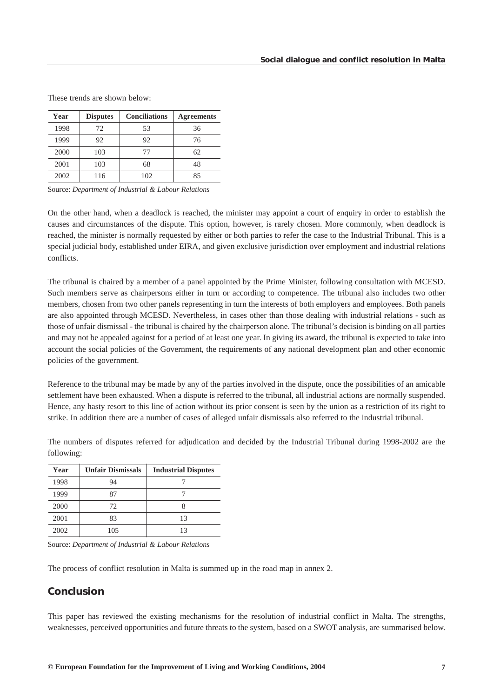| Year | <b>Disputes</b> | <b>Conciliations</b> | <b>Agreements</b> |
|------|-----------------|----------------------|-------------------|
| 1998 | 72              | 53                   | 36                |
| 1999 | 92              | 92                   | 76                |
| 2000 | 103             | 77                   | 62                |
| 2001 | 103             | 68                   | 48                |
| 2002 | 116             | 102                  | 85                |

<span id="page-7-0"></span>These trends are shown below:

Source: *Department of Industrial & Labour Relations*

On the other hand, when a deadlock is reached, the minister may appoint a court of enquiry in order to establish the causes and circumstances of the dispute. This option, however, is rarely chosen. More commonly, when deadlock is reached, the minister is normally requested by either or both parties to refer the case to the Industrial Tribunal. This is a special judicial body, established under EIRA, and given exclusive jurisdiction over employment and industrial relations conflicts.

The tribunal is chaired by a member of a panel appointed by the Prime Minister, following consultation with MCESD. Such members serve as chairpersons either in turn or according to competence. The tribunal also includes two other members, chosen from two other panels representing in turn the interests of both employers and employees. Both panels are also appointed through MCESD. Nevertheless, in cases other than those dealing with industrial relations - such as those of unfair dismissal - the tribunal is chaired by the chairperson alone. The tribunal's decision is binding on all parties and may not be appealed against for a period of at least one year. In giving its award, the tribunal is expected to take into account the social policies of the Government, the requirements of any national development plan and other economic policies of the government.

Reference to the tribunal may be made by any of the parties involved in the dispute, once the possibilities of an amicable settlement have been exhausted. When a dispute is referred to the tribunal, all industrial actions are normally suspended. Hence, any hasty resort to this line of action without its prior consent is seen by the union as a restriction of its right to strike. In addition there are a number of cases of alleged unfair dismissals also referred to the industrial tribunal.

The numbers of disputes referred for adjudication and decided by the Industrial Tribunal during 1998-2002 are the following:

| Year | <b>Unfair Dismissals</b> | <b>Industrial Disputes</b> |
|------|--------------------------|----------------------------|
| 1998 | 94                       |                            |
| 1999 | 87                       |                            |
| 2000 | 72                       |                            |
| 2001 | 83                       | 13                         |
| 2002 | 105                      |                            |

Source: *Department of Industrial & Labour Relations*

The process of conflict resolution in Malta is summed up in the road map in annex 2.

# *Conclusion*

This paper has reviewed the existing mechanisms for the resolution of industrial conflict in Malta. The strengths, weaknesses, perceived opportunities and future threats to the system, based on a SWOT analysis, are summarised below.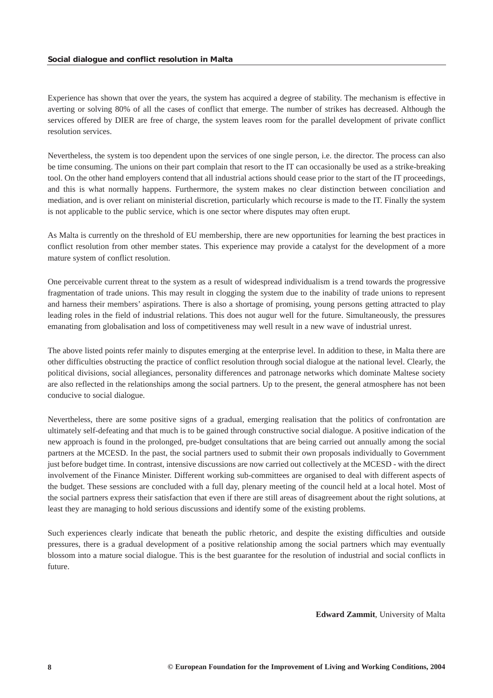Experience has shown that over the years, the system has acquired a degree of stability. The mechanism is effective in averting or solving 80% of all the cases of conflict that emerge. The number of strikes has decreased. Although the services offered by DIER are free of charge, the system leaves room for the parallel development of private conflict resolution services.

Nevertheless, the system is too dependent upon the services of one single person, i.e. the director. The process can also be time consuming. The unions on their part complain that resort to the IT can occasionally be used as a strike-breaking tool. On the other hand employers contend that all industrial actions should cease prior to the start of the IT proceedings, and this is what normally happens. Furthermore, the system makes no clear distinction between conciliation and mediation, and is over reliant on ministerial discretion, particularly which recourse is made to the IT. Finally the system is not applicable to the public service, which is one sector where disputes may often erupt.

As Malta is currently on the threshold of EU membership, there are new opportunities for learning the best practices in conflict resolution from other member states. This experience may provide a catalyst for the development of a more mature system of conflict resolution.

One perceivable current threat to the system as a result of widespread individualism is a trend towards the progressive fragmentation of trade unions. This may result in clogging the system due to the inability of trade unions to represent and harness their members' aspirations. There is also a shortage of promising, young persons getting attracted to play leading roles in the field of industrial relations. This does not augur well for the future. Simultaneously, the pressures emanating from globalisation and loss of competitiveness may well result in a new wave of industrial unrest.

The above listed points refer mainly to disputes emerging at the enterprise level. In addition to these, in Malta there are other difficulties obstructing the practice of conflict resolution through social dialogue at the national level. Clearly, the political divisions, social allegiances, personality differences and patronage networks which dominate Maltese society are also reflected in the relationships among the social partners. Up to the present, the general atmosphere has not been conducive to social dialogue.

Nevertheless, there are some positive signs of a gradual, emerging realisation that the politics of confrontation are ultimately self-defeating and that much is to be gained through constructive social dialogue. A positive indication of the new approach is found in the prolonged, pre-budget consultations that are being carried out annually among the social partners at the MCESD. In the past, the social partners used to submit their own proposals individually to Government just before budget time. In contrast, intensive discussions are now carried out collectively at the MCESD - with the direct involvement of the Finance Minister. Different working sub-committees are organised to deal with different aspects of the budget. These sessions are concluded with a full day, plenary meeting of the council held at a local hotel. Most of the social partners express their satisfaction that even if there are still areas of disagreement about the right solutions, at least they are managing to hold serious discussions and identify some of the existing problems.

Such experiences clearly indicate that beneath the public rhetoric, and despite the existing difficulties and outside pressures, there is a gradual development of a positive relationship among the social partners which may eventually blossom into a mature social dialogue. This is the best guarantee for the resolution of industrial and social conflicts in future.

**Edward Zammit**, University of Malta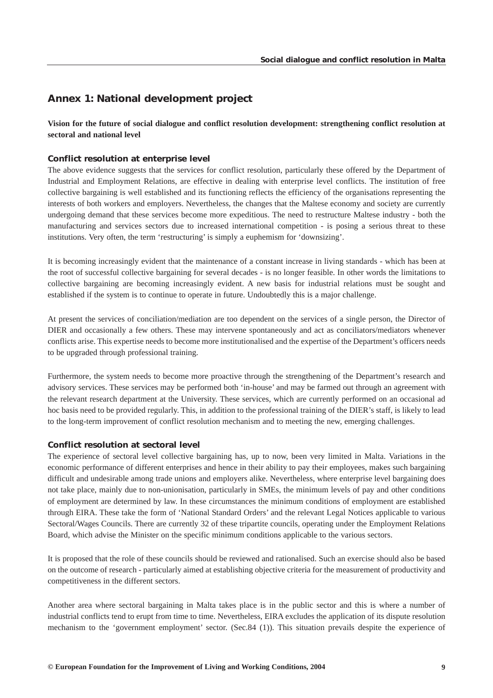# <span id="page-9-0"></span>*Annex 1: National development project*

**Vision for the future of social dialogue and conflict resolution development: strengthening conflict resolution at sectoral and national level**

#### *Conflict resolution at enterprise level*

The above evidence suggests that the services for conflict resolution, particularly these offered by the Department of Industrial and Employment Relations, are effective in dealing with enterprise level conflicts. The institution of free collective bargaining is well established and its functioning reflects the efficiency of the organisations representing the interests of both workers and employers. Nevertheless, the changes that the Maltese economy and society are currently undergoing demand that these services become more expeditious. The need to restructure Maltese industry - both the manufacturing and services sectors due to increased international competition - is posing a serious threat to these institutions. Very often, the term 'restructuring' is simply a euphemism for 'downsizing'.

It is becoming increasingly evident that the maintenance of a constant increase in living standards - which has been at the root of successful collective bargaining for several decades - is no longer feasible. In other words the limitations to collective bargaining are becoming increasingly evident. A new basis for industrial relations must be sought and established if the system is to continue to operate in future. Undoubtedly this is a major challenge.

At present the services of conciliation/mediation are too dependent on the services of a single person, the Director of DIER and occasionally a few others. These may intervene spontaneously and act as conciliators/mediators whenever conflicts arise. This expertise needs to become more institutionalised and the expertise of the Department's officers needs to be upgraded through professional training.

Furthermore, the system needs to become more proactive through the strengthening of the Department's research and advisory services. These services may be performed both 'in-house' and may be farmed out through an agreement with the relevant research department at the University. These services, which are currently performed on an occasional ad hoc basis need to be provided regularly. This, in addition to the professional training of the DIER's staff, is likely to lead to the long-term improvement of conflict resolution mechanism and to meeting the new, emerging challenges.

## *Conflict resolution at sectoral level*

The experience of sectoral level collective bargaining has, up to now, been very limited in Malta. Variations in the economic performance of different enterprises and hence in their ability to pay their employees, makes such bargaining difficult and undesirable among trade unions and employers alike. Nevertheless, where enterprise level bargaining does not take place, mainly due to non-unionisation, particularly in SMEs, the minimum levels of pay and other conditions of employment are determined by law. In these circumstances the minimum conditions of employment are established through EIRA. These take the form of 'National Standard Orders' and the relevant Legal Notices applicable to various Sectoral/Wages Councils. There are currently 32 of these tripartite councils, operating under the Employment Relations Board, which advise the Minister on the specific minimum conditions applicable to the various sectors.

It is proposed that the role of these councils should be reviewed and rationalised. Such an exercise should also be based on the outcome of research - particularly aimed at establishing objective criteria for the measurement of productivity and competitiveness in the different sectors.

Another area where sectoral bargaining in Malta takes place is in the public sector and this is where a number of industrial conflicts tend to erupt from time to time. Nevertheless, EIRA excludes the application of its dispute resolution mechanism to the 'government employment' sector. (Sec.84 (1)). This situation prevails despite the experience of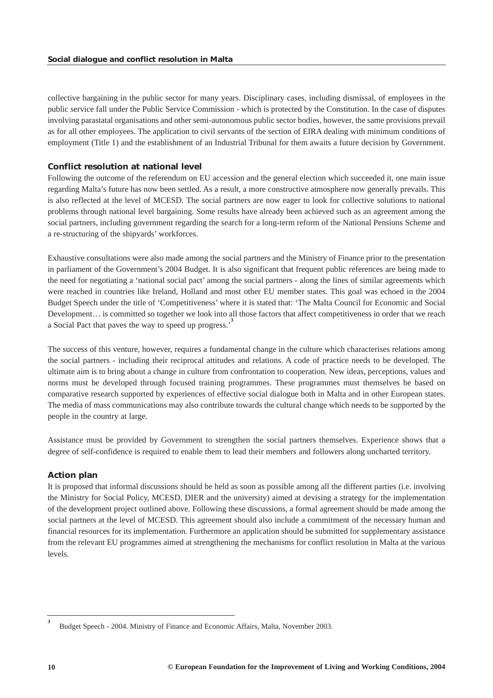collective bargaining in the public sector for many years. Disciplinary cases, including dismissal, of employees in the public service fall under the Public Service Commission - which is protected by the Constitution. In the case of disputes involving parastatal organisations and other semi-autonomous public sector bodies, however, the same provisions prevail as for all other employees. The application to civil servants of the section of EIRA dealing with minimum conditions of employment (Title 1) and the establishment of an Industrial Tribunal for them awaits a future decision by Government.

## *Conflict resolution at national level*

Following the outcome of the referendum on EU accession and the general election which succeeded it, one main issue regarding Malta's future has now been settled. As a result, a more constructive atmosphere now generally prevails. This is also reflected at the level of MCESD. The social partners are now eager to look for collective solutions to national problems through national level bargaining. Some results have already been achieved such as an agreement among the social partners, including government regarding the search for a long-term reform of the National Pensions Scheme and a re-structuring of the shipyards' workforces.

Exhaustive consultations were also made among the social partners and the Ministry of Finance prior to the presentation in parliament of the Government's 2004 Budget. It is also significant that frequent public references are being made to the need for negotiating a 'national social pact' among the social partners - along the lines of similar agreements which were reached in countries like Ireland, Holland and most other EU member states. This goal was echoed in the 2004 Budget Speech under the title of 'Competitiveness' where it is stated that: 'The Malta Council for Economic and Social Development… is committed so together we look into all those factors that affect competitiveness in order that we reach a Social Pact that paves the way to speed up progress.'**<sup>3</sup>**

The success of this venture, however, requires a fundamental change in the culture which characterises relations among the social partners - including their reciprocal attitudes and relations. A code of practice needs to be developed. The ultimate aim is to bring about a change in culture from confrontation to cooperation. New ideas, perceptions, values and norms must be developed through focused training programmes. These programmes must themselves be based on comparative research supported by experiences of effective social dialogue both in Malta and in other European states. The media of mass communications may also contribute towards the cultural change which needs to be supported by the people in the country at large.

Assistance must be provided by Government to strengthen the social partners themselves. Experience shows that a degree of self-confidence is required to enable them to lead their members and followers along uncharted territory.

## *Action plan*

It is proposed that informal discussions should be held as soon as possible among all the different parties (i.e. involving the Ministry for Social Policy, MCESD, DIER and the university) aimed at devising a strategy for the implementation of the development project outlined above. Following these discussions, a formal agreement should be made among the social partners at the level of MCESD. This agreement should also include a commitment of the necessary human and financial resources for its implementation. Furthermore an application should be submitted for supplementary assistance from the relevant EU programmes aimed at strengthening the mechanisms for conflict resolution in Malta at the various levels.

**<sup>3</sup>** Budget Speech - 2004. Ministry of Finance and Economic Affairs, Malta, November 2003.